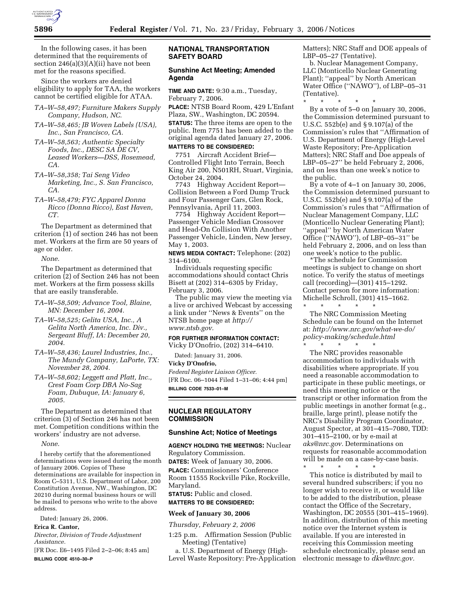

In the following cases, it has been determined that the requirements of section  $246(a)(3)(A)(ii)$  have not been met for the reasons specified.

Since the workers are denied eligibility to apply for TAA, the workers cannot be certified eligible for ATAA.

- *TA–W–58,497; Furniture Makers Supply Company, Hudson, NC.*
- *TA–W–58,465; JB Woven Labels (USA), Inc., San Francisco, CA.*
- *TA–W–58,563; Authentic Specialty Foods, Inc., DESC SA DE CV, Leased Workers—DSS, Rosemead, CA.*
- *TA–W–58,358; Tai Seng Video Marketing, Inc., S. San Francisco, CA.*
- *TA–W–58,479; FYC Apparel Donna Ricco (Donna Ricco), East Haven, CT.*

The Department as determined that criterion (1) of section 246 has not been met. Workers at the firm are 50 years of age or older.

*None.* 

The Department as determined that criterion (2) of Section 246 has not been met. Workers at the firm possess skills that are easily transferable.

- *TA–W–58,509; Advance Tool, Blaine, MN: December 16, 2004.*
- *TA–W–58,525; Gelita USA, Inc., A Gelita North America, Inc. Div., Sergeant Bluff, IA: December 20, 2004.*
- *TA–W–58,436; Laurel Industries, Inc., The Mundy Company, LaPorte, TX: November 28, 2004.*
- *TA–W–58,602; Leggett and Platt, Inc., Crest Foam Corp DBA No-Sag Foam, Dubuque, IA: January 6, 2005.*

The Department as determined that criterion (3) of Section 246 has not been met. Competition conditions within the workers' industry are not adverse.

*None.* 

I hereby certify that the aforementioned determinations were issued during the month of January 2006. Copies of These determinations are available for inspection in Room C–5311, U.S. Department of Labor, 200 Constitution Avenue, NW., Washington, DC 20210 during normal business hours or will be mailed to persons who write to the above address.

Dated: January 26, 2006.

### **Erica R. Cantor,**

*Director, Division of Trade Adjustment Assistance.* 

[FR Doc. E6–1495 Filed 2–2–06; 8:45 am] **BILLING CODE 4510–30–P** 

# **NATIONAL TRANSPORTATION SAFETY BOARD**

### **Sunshine Act Meeting; Amended Agenda**

**TIME AND DATE:** 9:30 a.m., Tuesday, February 7, 2006.

**PLACE:** NTSB Board Room, 429 L'Enfant Plaza, SW., Washington, DC 20594.

**STATUS:** The three items are open to the public. Item 7751 has been added to the original agenda dated January 27, 2006.

#### **MATTERS TO BE CONSIDERED:**

7751 Aircraft Accident Brief— Controlled Flight Into Terrain, Beech King Air 200, N501RH, Stuart, Virginia, October 24, 2004.

7743 Highway Accident Report— Collision Between a Ford Dump Truck and Four Passenger Cars, Glen Rock, Pennsylvania, April 11, 2003.

7754 Highway Accident Report— Passenger Vehicle Median Crossover and Head-On Collision With Another Passenger Vehicle, Linden, New Jersey, May 1, 2003.

#### **NEWS MEDIA CONTACT:** Telephone: (202) 314–6100.

Individuals requesting specific accommodations should contact Chris Bisett at (202) 314–6305 by Friday, February 3, 2006.

The public may view the meeting via a live or archived Webcast by accessing a link under ''News & Events'' on the NTSB home page at *http:// www.ntsb.gov.* 

# **FOR FURTHER INFORMATION CONTACT:**

Vicky D'Onofrio, (202) 314–6410. Dated: January 31, 2006.

# **Vicky D'Onofrio,**

*Federal Register Liaison Officer.*  [FR Doc. 06–1044 Filed 1–31–06; 4:44 pm] **BILLING CODE 7533–01–M** 

#### **NUCLEAR REGULATORY COMMISSION**

### **Sunshine Act; Notice of Meetings**

**AGENCY HOLDING THE MEETINGS:** Nuclear Regulatory Commission. **DATES:** Week of January 30, 2006. **PLACE:** Commissioners' Conference Room 11555 Rockville Pike, Rockville, Maryland.

**STATUS:** Public and closed.

### **MATTERS TO BE CONSIDERED:**

### **Week of January 30, 2006**

*Thursday, February 2, 2006* 

1:25 p.m. Affirmation Session (Public Meeting) (Tentative)

a. U.S. Department of Energy (High-Level Waste Repository: Pre-Application Matters); NRC Staff and DOE appeals of LBP–05–27 (Tentative).

b. Nuclear Management Company, LLC (Monticello Nuclear Generating Plant); "appeal" by North American Water Office (''NAWO''), of LBP–05–31 (Tentative).

\* \* \* \* \* By a vote of 5–0 on January 30, 2006, the Commission determined pursuant to U.S.C. 552b(e) and § 9.107(a) of the Commission's rules that ''Affirmation of U.S. Department of Energy (High-Level Waste Repository; Pre-Application Matters); NRC Staff and Doe appeals of LBP–05–27'' be held February 2, 2006, and on less than one week's notice to the public.

By a vote of 4–1 on January 30, 2006, the Commission determined pursuant to U.S.C. 552b(e) and § 9.107(a) of the Commission's rules that ''Affirmation of Nuclear Management Company, LLC (Monticello Nuclear Generating Plant); ''appeal'' by North American Water Office (''NAWO''), of LBP–05–31'' be held February 2, 2006, and on less than one week's notice to the public.

\*The schedule for Commission meetings is subject to change on short notice. To verify the status of meetings call (recording)—(301) 415–1292. Contact person for more information: Michelle Schroll, (301) 415–1662. \* \* \* \* \*

The NRC Commission Meeting Schedule can be found on the Internet at: *http://www.nrc.gov/what-we-do/ policy-making/schedule.html* 

\* \* \* \* \* The NRC provides reasonable accommodation to individuals with disabilities where appropriate. If you need a reasonable accommodation to participate in these public meetings, or need this meeting notice or the transcript or other information from the public meetings in another format (e.g., braille, large print), please notify the NRC's Disability Program Coordinator, August Spector, at 301–415–7080, TDD: 301–415–2100, or by e-mail at *aks@nrc.gov.* Determinations on requests for reasonable accommodation will be made on a case-by-case basis.<br> $*$  \* \* \* \* \* \*

\* \* \* \* \* This notice is distributed by mail to several hundred subscribers; if you no longer wish to receive it, or would like to be added to the distribution, please contact the Office of the Secretary, Washington, DC 20555 (301–415–1969). In addition, distribution of this meeting notice over the Internet system is available. If you are interested in receiving this Commission meeting schedule electronically, please send an electronic message to *dkw@nrc.gov.*